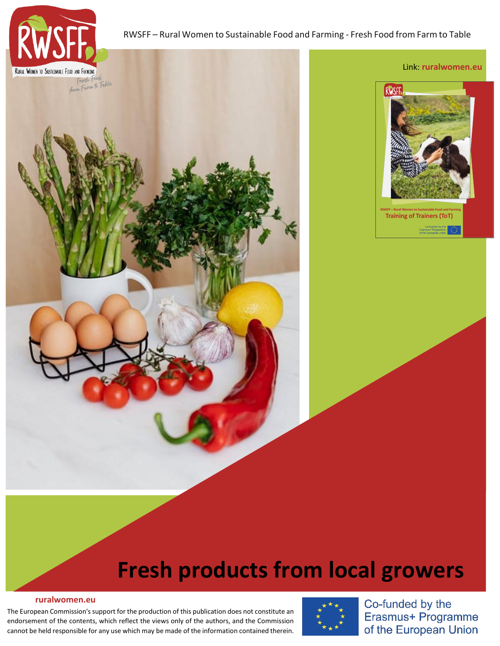

## RWSFF – Rural Women to Sustainable Food and Farming - Fresh Food from Farm to Table



# **Fresh products from local growers**

#### **[ruralwomen.eu](https://ruralwomen.eu/local/staticpage/view.php?page=contact_en)**

The European Commission's support for the production of this publication does not constitute an endorsement of the contents, which reflect the views only of the authors, and the Commission cannot be held responsible for any use which may be made of the information contained therein.



Co-funded by the Erasmus+ Programme of the European Union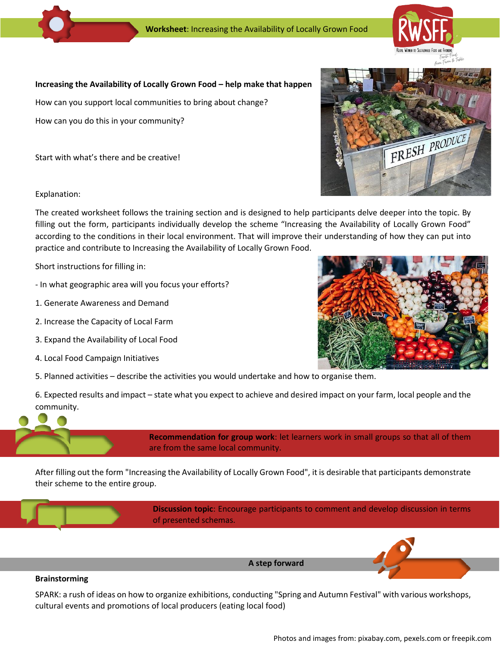

### Increasing the Availability of Locally Grown Food - help make that happen

How can you support local communities to bring about change?

How can you do this in your community?

Start with what's there and be creative!

Explanation:

The created worksheet follows the training section and is designed to help participants delve deeper into the topic. By filling out the form, participants individually develop the scheme "Increasing the Availability of Locally Grown Food" according to the conditions in their local environment. That will improve their understanding of how they can put into practice and contribute to Increasing the Availability of Locally Grown Food.

Short instructions for filling in:

- In what geographic area will you focus your efforts?
- 1. Generate Awareness and Demand
- 2. Increase the Capacity of Local Farm
- 3. Expand the Availability of Local Food
- 4. Local Food Campaign Initiatives
- 5. Planned activities describe the activities you would undertake and how to organise them.

6. Expected results and impact – state what you expect to achieve and desired impact on your farm, local people and the community.

> **Recommendation for group work**: let learners work in small groups so that all of them are from the same local community.

After filling out the form "Increasing the Availability of Locally Grown Food", it is desirable that participants demonstrate their scheme to the entire group.

> **Discussion topic**: Encourage participants to comment and develop discussion in terms of presented schemas.

> > **A step forward**

#### **Brainstorming**

SPARK: a rush of ideas on how to organize exhibitions, conducting "Spring and Autumn Festival" with various workshops, cultural events and promotions of local producers (eating local food)